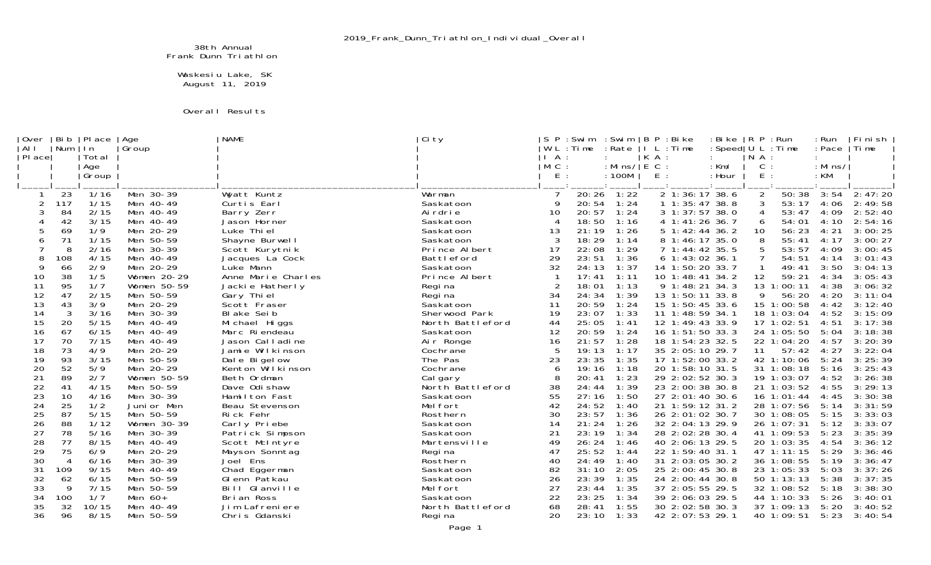38th Annual Frank Dunn Triathlon

 Waskesiu Lake, SK August 11, 2019

## Overall Results

| Over<br>  AI I | Bi b<br>  Num  | Pl ace<br>ln | Age<br>Group           | <b>NAME</b>                       | Ci ty                  | P        | : Swim<br>W L : Ti me | : Swim<br>: Rate |     | B P : Bike<br>I L : Time           | : Bi ke<br>: Speed $ U L : Ti$ me | R P : Run      |                          | : Run<br>: Pace | Fi ni sh<br>  Time |
|----------------|----------------|--------------|------------------------|-----------------------------------|------------------------|----------|-----------------------|------------------|-----|------------------------------------|-----------------------------------|----------------|--------------------------|-----------------|--------------------|
| PI ace         |                | Total        |                        |                                   |                        | ΙA       |                       |                  | KA: |                                    |                                   | $N$ A :        |                          |                 |                    |
|                |                | Age          |                        |                                   |                        | $M$ C :  |                       | : Mins/ $ E C$ : |     |                                    | $:$ Km/                           | C              |                          | : Mins/         |                    |
|                |                | Group        |                        |                                   |                        | E.       |                       | : 100M           | E.  |                                    | : Hour                            | E.             |                          | $:$ KM          |                    |
|                |                |              |                        |                                   |                        |          |                       |                  |     |                                    |                                   |                |                          |                 |                    |
|                | 23             | 1/16         | Men 30-39              | Wyatt Kuntz                       | Warman                 |          | 20:26                 | 1:22             |     | $\overline{2}$ 1:36:17 38.6        |                                   | $\overline{a}$ | 50:38                    | 3:54            | 2: 47: 20          |
|                | 117            | 1/15         | Men 40-49              | Curtis Earl                       | Saskatoon              |          | 20:54                 | 1:24             |     | 1 1:35:47 38.8                     |                                   |                | 53:17                    | 4:06            | 2:49:58            |
| 3              | 84             | 2/15         | Men 40-49              | Barry Zerr                        | Ai rdri e              | 10       | 20:57                 | 1:24             |     | 3 1:37:57 38.0                     |                                   |                | 53:47                    | 4:09            | 2:52:40            |
|                | 42             | 3/15         | Men 40-49              | Jason Horner                      | Saskatoon              |          | 18:50                 | 1:16             |     | 4 1:41:26 36.7                     |                                   | 6              | 54:01                    | 4:10            | 2:54:16            |
|                | 69             | 1/9          | Men 20-29              | Luke Thi el                       | Saskatoon              | 13       | 21:19                 | 1:26             |     | 5 1:42:44 36.2                     |                                   | 10             | 56:23                    | 4:21            | 3:00:25            |
| 6              | 71             | 1/15         | Men 50-59              | Shayne Burwell                    | Saskatoon              | 3        | 18:29                 | 1:14             |     | 8 1:46:17 35.0                     |                                   |                | 55:41                    | 4:17            | 3:00:27            |
|                | 8              | 2/16         | Men 30-39              | Scott Kurytnik                    | Prince Albert          | 17       | 22:08                 | 1:29             |     | 7 1:44:42 35.5                     |                                   |                | 53:57                    | 4:09            | 3:00:45            |
| 8              | 108            | 4/15         | Men 40-49              | Jacques La Cock                   | Battleford             | 29       | 23:51                 | 1:36             |     | 6 1:43:02 36.1                     |                                   |                | 54:51                    | 4:14            | 3:01:43            |
| 9              | 66             | 2/9          | Men 20-29              | Luke Mann                         | Saskatoon              | 32       | 24:13                 | 1:37             |     | 14 1:50:20 33.7                    |                                   |                | 49:41                    | 3:50            | 3:04:13            |
| 10             | 38             | 1/5          | Women 20-29            | Anne Marie Charles                | Prince Albert          |          | 17:41                 | 1:11             |     | 10 1:48:41 34.2                    |                                   | 12             | 59:21                    | 4:34            | 3:05:43            |
| 11             | 95             | 1/7          | Women 50-59            | Jackie Hatherly                   | Regi na                |          | 18:01                 | 1:13             |     | 9 1:48:21 34.3                     |                                   |                | 13 1:00:11               | 4:38            | 3:06:32            |
| 12             | 47             | 2/15         | Men 50-59              | Gary Thi el                       | Regi na                | 34       | 24:34                 | 1:39             |     | 13 1:50:11 33.8                    |                                   | 9              | 56:20<br>15 1:00:58      | 4:20            | 3:11:04            |
| 13             | 43             | 3/9          | Men 20-29              | Scott Fraser                      | Saskatoon              | 11       | 20:59                 | 1:24             |     | 15 1:50:45 33.6                    |                                   |                |                          | 4:42            | 3:12:40            |
| 14             | 3<br>20        | 3/16         | Men 30-39              | Bl ake Sei b                      | Sherwood Park          | 19       | 23:07<br>25:05        | 1:33             |     | 11 1:48:59 34.1                    |                                   |                | 18 1:03:04               | 4:52            | 3:15:09<br>3:17:38 |
| 15             |                | 5/15         | Men 40-49              | Mi chael Higgs                    | North Battleford       | 44<br>12 |                       | 1:41             |     | 12 1:49:43 33.9                    |                                   |                | 17 1:02:51               | 4:51            |                    |
| 16<br>17       | 67<br>70       | 6/15<br>7/15 | Men 40-49<br>Men 40-49 | Marc Ri endeau<br>Jason Calladine | Saskatoon<br>Air Ronge | 16       | 20:59<br>21:57        | 1:24<br>1:28     |     | 16 1:51:50 33.3<br>18 1:54:23 32.5 |                                   |                | 24 1:05:50<br>22 1:04:20 | 5:04<br>4:57    | 3:18:38<br>3:20:39 |
| 18             | 73             | 4/9          | Men 20-29              | Jamie Wilkinson                   | Cochrane               |          | 19:13                 | 1:17             |     | 35 2:05:10 29.7                    |                                   | 11             | 57:42                    | 4:27            | 3:22:04            |
| 19             | 93             | 3/15         | Men 50-59              | Dale Bigelow                      | The Pas                | 23       | 23:35                 | 1:35             |     | 17 1:52:00 33.2                    |                                   |                | 42 1:10:06               | 5:24            | 3:25:39            |
| 20             | 52             | 5/9          | Men 20-29              | Kenton Wilkinson                  | Cochrane               | 6        | 19:16                 | 1:18             |     | 20 1:58:10 31.5                    |                                   |                | 31 1:08:18               | 5:16            | 3:25:43            |
| 21             | 89             | 2/7          | Women 50-59            | Beth Ordman                       | Cal gary               |          | 20:41                 | 1:23             |     | 29 2:02:52 30.3                    |                                   |                | 19 1:03:07               | 4:52            | 3:26:38            |
| 22             | 41             | 4/15         | Men 50-59              | Dave Odi shaw                     | North Battleford       | 38       | 24:44                 | 1:39             |     | 23 2:00:38 30.8                    |                                   |                | 21 1:03:52               | 4:55            | 3:29:13            |
| 23             | 10             | 4/16         | Men 30-39              | Hamilton Fast                     | Saskatoon              | 55       | 27:16                 | 1:50             |     | 27 2:01:40 30.6                    |                                   |                | $16 \t1: 01: 44$         | 4:45            | 3:30:38            |
| 24             | 25             | 1/2          | Juni or Men            | Beau Stevenson                    | Mel fort               | 42       | 24:52                 | 1:40             |     | 21 1:59:12 31.2                    |                                   |                | 28 1:07:56               | 5:14            | 3:31:59            |
| 25             | 87             | 5/15         | Men 50-59              | Rick Fehr                         | Rosthern               | 30       | 23:57                 | 1:36             |     | 26 2:01:02 30.7                    |                                   |                | 30 1:08:05               | 5:15            | 3:33:03            |
| 26             | 88             | 1/12         | Women 30-39            | Carly Priebe                      | Saskatoon              | 14       | 21:24                 | 1:26             |     | 32 2:04:13 29.9                    |                                   |                | 26 1:07:31               | 5:12            | 3:33:07            |
| 27             | 78             | 5/16         | Men 30-39              | Patrick Simpson                   | Saskatoon              | 21       | 23:19                 | 1:34             |     | 28 2:02:28 30.4                    |                                   |                | 41 1:09:53               | 5:23            | 3:35:39            |
| 28             | 77             | 8/15         | Men 40-49              | Scott McIntyre                    | Martensville           | 49       | 26:24                 | 1:46             |     | 40 2:06:13 29.5                    |                                   |                | 20 1:03:35               | 4:54            | 3:36:12            |
| 29             | 75             | 6/9          | Men 20-29              | Mayson Sonntag                    | Regi na                | 47       | 25:52                 | 1:44             |     | 22 1:59:40 31.1                    |                                   |                | 47 1:11:15               | 5:29            | 3:36:46            |
| 30             | $\overline{4}$ | 6/16         | Men 30-39              | Joel Ens                          | Rosthern               | 40       | 24:49                 | 1:40             |     | 31 2:03:05 30.2                    |                                   |                | 36 1:08:55               | 5:19            | 3:36:47            |
| 31             | 109            | 9/15         | Men 40-49              | Chad Eggerman                     | Saskatoon              | 82       | 31:10                 | 2:05             |     | 25 2:00:45 30.8                    |                                   |                | 23 1:05:33               | 5:03            | 3:37:26            |
| 32             | 62             | 6/15         | Men 50-59              | Glenn Patkau                      | Saskatoon              | 26       | 23:39                 | 1:35             |     | 24 2:00:44 30.8                    |                                   |                | 50 1:13:13               | 5:38            | 3:37:35            |
| 33             | -9             | 7/15         | Men 50-59              | Bill Glanville                    | Mel fort               | 27       | 23:44                 | 1:35             |     | 37 2:05:55 29.5                    |                                   |                | 32 1:08:52               | 5:18            | 3:38:30            |
| 34             | 100            | 1/7          | Men $60+$              | Bri an Ross                       | Saskatoon              | 22       | 23:25                 | 1:34             |     | 39 2:06:03 29.5                    |                                   |                | 44 1:10:33               | 5:26            | 3:40:01            |
| 35             | 32             | 10/15        | Men 40-49              | Jim Lafreniere                    | North Battleford       | 68       | 28:41                 | 1:55             |     | 30 2:02:58 30.3                    |                                   |                | 37 1:09:13               | 5:20            | 3:40:52            |
| 36             | 96             | 8/15         | Men 50-59              | Chris Gdanski                     | Regi na                | 20       | 23:10                 | 1:33             |     | 42 2:07:53 29.1                    |                                   |                | 40 1:09:51               | 5:23            | 3:40:54            |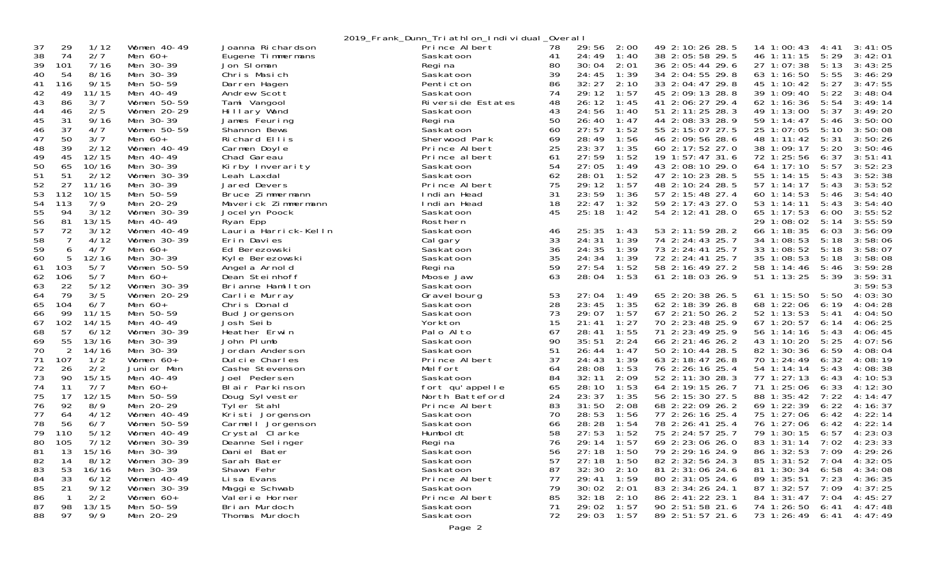2019 Frank Dunn Triathlon Individual Overall

| 37<br>29                      | 1/12<br>Women 40-49   | Joanna Richardson    | - <u>-</u> - - - -<br>Prince Albert | 78 | 29:56<br>2:00  | 49 2:10:26 28.5      | 14 1:00:43      | 4:41  | 3:41:05 |
|-------------------------------|-----------------------|----------------------|-------------------------------------|----|----------------|----------------------|-----------------|-------|---------|
| 38<br>74<br>2/7               | Men $60+$             | Eugene Timmermans    | Saskatoon                           | 41 | 24:49<br>1:40  | 38 2:05:58 29.5      | 46 1:11:15      | 5:29  | 3:42:01 |
| 39<br>101                     | 7/16<br>Men 30-39     | Jon SI oman          | Regi na                             | 80 | 2:01<br>30:04  | 36 2:05:44 29.6      | 27 1:07:38      | 5:13  | 3:43:25 |
| 54<br>40                      | 8/16<br>Men 30-39     | Chris Masich         | Saskatoon                           | 39 | 24:45<br>1:39  | 34 2:04:55 29.8      | 63 1:16:50      | 5:55  | 3:46:29 |
| 41<br>116                     | 9/15<br>Men 50-59     | Darren Hagen         | Penticton                           | 86 | 32:27<br>2:10  | 33 2:04:47 29.8      | 45 1:10:42      | 5:27  | 3:47:55 |
| 49<br>42<br>11/15             | Men 40-49             | Andrew Scott         | Saskatoon                           | 74 | 29:12<br>1:57  | 45 2:09:13 28.8      | 39 1:09:40      | 5:22  | 3:48:04 |
| 43<br>86<br>3/7               | Women 50-59           | Tami Vangool         | Riverside Estates                   | 48 | 26:12<br>1:45  | 41 2:06:27 29.4      | 62 1:16:36      | 5:54  | 3:49:14 |
| 44<br>2/5<br>46               | Women 20-29           | Hillary Wand         | Saskatoon                           | 43 | 24:56<br>1:40  | 51 2:11:25 28.3      | 49 1:13:00      | 5:37  | 3:49:20 |
| 45<br>31                      | 9/16<br>Men 30-39     | James Feuring        | Regi na                             | 50 | 26:40<br>1:47  | 44 2:08:33 28.9      | 59 1:14:47      | 5:46  | 3:50:00 |
| 37<br>46<br>4/7               | Women 50-59           | Shannon Bews         | Saskatoon                           | 60 | 27:57<br>1:52  | 55 2:15:07 27.5      | 25 1:07:05      | 5:10  | 3:50:08 |
| 50<br>47<br>3/7               | Men $60+$             | Richard Ellis        | Sherwood Park                       | 69 | 28:49<br>1:56  | 46 2:09:56 28.6      | 48 1:11:42      | 5:31  | 3:50:26 |
| 48<br>39                      | 2/12<br>Women $40-49$ | Carmen Doyle         | Prince Albert                       | 25 | 23:37<br>1:35  | 60 2:17:52 27.0      | 38 1:09:17      | 5:20  | 3:50:46 |
| 45<br>49<br>12/15             | Men 40-49             | Chad Gareau          | Prince albert                       | 61 | 27:59<br>1:52  | 19 1:57:47 31.6      | 72 1:25:56      | 6:37  | 3:51:41 |
| 50<br>65<br>10/16             | Men 30-39             | Kirby Inverarity     | Saskatoon                           | 54 | 27:05<br>1:49  | 43 2:08:10 29.0      | 64 1:17:10      | 5:57  | 3:52:23 |
| 51<br>51                      | 2/12<br>Women 30-39   | Leah Laxdal          | Saskatoon                           | 62 | 28:01<br>1:52  | 47 2:10:23 28.5      | 55 1:14:15      | 5:43  | 3:52:38 |
| 52<br>27<br>11/16             | Men 30-39             | Jared Devers         | Prince Albert                       | 75 | 29:12<br>1:57  | 48 2:10:24 28.5      | 57 1:14:17      | 5:43  | 3:53:52 |
| 53<br>112<br>10/15            | Men 50-59             | Bruce Zimmermann     | Indi an Head                        | 31 | 23:59<br>1:36  | 57 2:15:48 27.4      | 60 1:14:53      | 5:46  | 3:54:40 |
| 54<br>113<br>7/9              | Men 20-29             | Maverick Zimmermann  | Indi an Head                        | 18 | 22:47<br>1: 32 | 59 2:17:43 27.0      | 53 1:14:11      | 5:43  | 3:54:40 |
| 55<br>94                      | 3/12<br>Women $30-39$ | Jocel yn Poock       | Saskatoon                           | 45 | 25:18<br>1:42  | 54 2:12:41 28.0      | $65 \; 1:17:53$ | 6:00  | 3:55:52 |
| 56<br>81<br>13/15             | Men 40-49             | Ryan Epp             | Rosthern                            |    |                |                      | 29 1:08:02      | 5:14  | 3:55:59 |
| 57<br>72                      | 3/12<br>Women 40-49   | Lauria Harrick-Kelln | Saskatoon                           | 46 | 25:35<br>1:43  | 53 2:11:59 28.2      | 66 1:18:35      | 6:03  | 3:56:09 |
| 58<br>7                       | Women $30-39$<br>4/12 | Erin Davies          | Cal gary                            | 33 | 24:31<br>1:39  | 74 2:24:43 25.7      | 34 1:08:53      | 5:18  | 3:58:06 |
| 59<br>6<br>4/7                | Men $60+$             | Ed Berezowski        | Saskatoon                           | 36 | 24:35<br>1:39  | 73 2:24:41 25.7      | 33 1:08:52      | 5:18  | 3:58:07 |
| 60<br>12/16<br>5              | Men 30-39             | Kyle Berezowski      | Saskatoon                           | 35 | 24:34<br>1:39  | 72 2:24:41 25.7      | 35 1:08:53      | 5:18  | 3:58:08 |
| 103<br>5/7<br>61              | Women 50-59           | Angel a Arnol d      | Regi na                             | 59 | 27:54<br>1:52  | 58 2:16:49 27.2      | 58 1:14:46      | 5:46  | 3:59:28 |
| 5/7<br>62<br>106              | Men $60+$             | Dean Steinhoff       | Moose Jaw                           | 63 | 28:04<br>1:53  | $61$ 2: 18: 03 26. 9 | $51 \; 1:13:25$ | 5:39  | 3:59:31 |
| 22<br>63                      | 5/12<br>Women 30-39   | Brianne Hamilton     | Saskatoon                           |    |                |                      |                 |       | 3:59:53 |
| 79<br>64<br>3/5               | Women 20-29           | Carlie Murray        | Gravel bourg                        | 53 | 27:04<br>1: 49 | 65 2:20:38 26.5      | $61$ 1: 15: 50  | 5:50  | 4:03:30 |
| 65<br>104<br>6/7              | Men $60+$             | Chris Donald         | Saskatoon                           | 28 | 23:45<br>1:35  | 62 2:18:39 26.8      | 68 1:22:06      | 6:19  | 4:04:28 |
| 99<br>66<br>11/15             | Men 50-59             | Bud Jorgenson        | Saskatoon                           | 73 | 29:07<br>1:57  | 67 2:21:50 26.2      | 52 1:13:53      | 5:41  | 4:04:50 |
| 67<br>102<br>14/15            | Men 40-49             | Josh Seib            | Yorkton                             | 15 | 1:27<br>21:41  | 70 2:23:48 25.9      | 67 1:20:57      | 6:14  | 4:06:25 |
| 57<br>68                      | 6/12<br>Women 30-39   | Heather Erwin        | Palo Alto                           | 67 | 1:55<br>28:41  | 71 2:23:49 25.9      | 56 1:14:16      | 5:43  | 4:06:45 |
| 69<br>55<br>13/16             | Men 30-39             | John PI umb          | Saskatoon                           | 90 | 2:24<br>35:51  | 66 2:21:46 26.2      | 43 1:10:20      | 5:25  | 4:07:56 |
| 70<br>$\overline{2}$<br>14/16 | Men 30-39             | Jordan Anderson      | Saskatoon                           | 51 | 26:44<br>1:47  | 50 2:10:44 28.5      | 82 1:30:36      | 6:59  | 4:08:04 |
| 107<br>71<br>1/2              | Women 60+             | Dulcie Charles       | Prince Albert                       | 37 | 1:39<br>24:43  | 63 2:18:47 26.8      | 70 1:24:49      | 6:32  | 4:08:19 |
| 72<br>26<br>2/2               | Junior Men            | Cashe Stevenson      | Mel fort                            | 64 | 28:08<br>1:53  | 76 2:26:16 25.4      | 54 1:14:14      | 5:43  | 4:08:38 |
| 73<br>90<br>15/15             | Men 40-49             | Joel Pedersen        | Saskatoon                           | 84 | 32:11<br>2:09  | 52 2:11:30 28.3      | 77 1:27:13      | 6:43  | 4:10:53 |
| 74<br>7/7<br>11               | Men $60+$             | Blair Parkinson      | fort qu'appelle                     | 65 | 28:10<br>1:53  | 64 2:19:15 26.7      | 71 1:25:06      | 6:33  | 4:12:30 |
| 75<br>17<br>12/15             | Men 50-59             | Doug Sylvester       | North Batteford                     | 24 | 23:37<br>1:35  | 56 2:15:30 27.5      | 88 1:35:42      | 7:22  | 4:14:47 |
| 76<br>92<br>8/9               | Men 20-29             | Tyler Stahl          | Prince Albert                       | 83 | 31:50<br>2:08  | 68 2:22:09 26.2      | 69 1:22:39      | 6:22  | 4:16:37 |
| 77<br>64                      | 4/12<br>Women $40-49$ | Kristi Jorgenson     | Saskatoon                           | 70 | 28:53<br>1:56  | 77 2:26:16 25.4      | 75 1:27:06      | 6:42  | 4:22:14 |
| 78<br>56<br>6/7               | Women 50-59           | Carmell Jorgenson    | Saskatoon                           | 66 | 28:28<br>1:54  | 78 2:26:41 25.4      | 76 1:27:06      | 6:42  | 4:22:14 |
| 79<br>110                     | 5/12<br>Women 40-49   | Crystal Clarke       | Humbol dt                           | 58 | 27:53<br>1:52  | 75 2:24:57 25.7      | 79 1:30:15      | 6:57  | 4:23:03 |
| 80<br>105                     | 7/12<br>Women 30-39   | Deanne Sel inger     | Regi na                             | 76 | 29:14<br>1:57  | 69 2:23:06 26.0      | 83 1:31:14      | 7:02  | 4:23:33 |
| 81<br>13<br>15/16             | Men 30-39             | Daniel Bater         | Saskatoon                           | 56 | 27:18<br>1:50  | 79 2:29:16 24.9      | 86 1:32:53      | 7:09  | 4:29:26 |
| 82<br>14                      | 8/12<br>Women 30-39   | Sarah Bater          | Saskatoon                           | 57 | 27:18<br>1:50  | 82 2:32:56 24.3      | 85 1:31:52      | 7:04  | 4:32:05 |
| 83<br>53<br>16/16             | Men 30-39             | Shawn Fehr           | Saskatoon                           | 87 | 32:30<br>2:10  | 81 2:31:06 24.6      | 81 1:30:34      | 6:58  | 4:34:08 |
| 84<br>33                      | 6/12<br>Women 40-49   | Li sa Evans          | Prince Albert                       | 77 | 29:41<br>1:59  | 80 2:31:05 24.6      | 89 1:35:51      | 7:23  | 4:36:35 |
| 85<br>21                      | 9/12<br>Women 30-39   | Maggie Schwab        | Saskatoon                           | 79 | 2:01<br>30:02  | 83 2:34:26 24.1      | 87 1:32:57      | 7:09  | 4:37:25 |
| 86<br>$\mathbf{1}$<br>2/2     | Women 60+             | Valerie Horner       | Prince Albert                       | 85 | 32:18<br>2:10  | 86 2:41:22 23.1      | 84 1:31:47      | 7:04  | 4:45:27 |
| 87<br>98<br>13/15             | Men 50-59             | Brian Murdoch        | Saskatoon                           | 71 | 29:02<br>1:57  | 90 2:51:58 21.6      | 74 1:26:50      | 6:41  | 4:47:48 |
| 88<br>97<br>9/9               | Men 20-29             | Thomas Murdoch       | Saskatoon                           | 72 | 29:03<br>1:57  | 89 2:51:57 21.6      | 73 1:26:49      | 6: 41 | 4:47:49 |